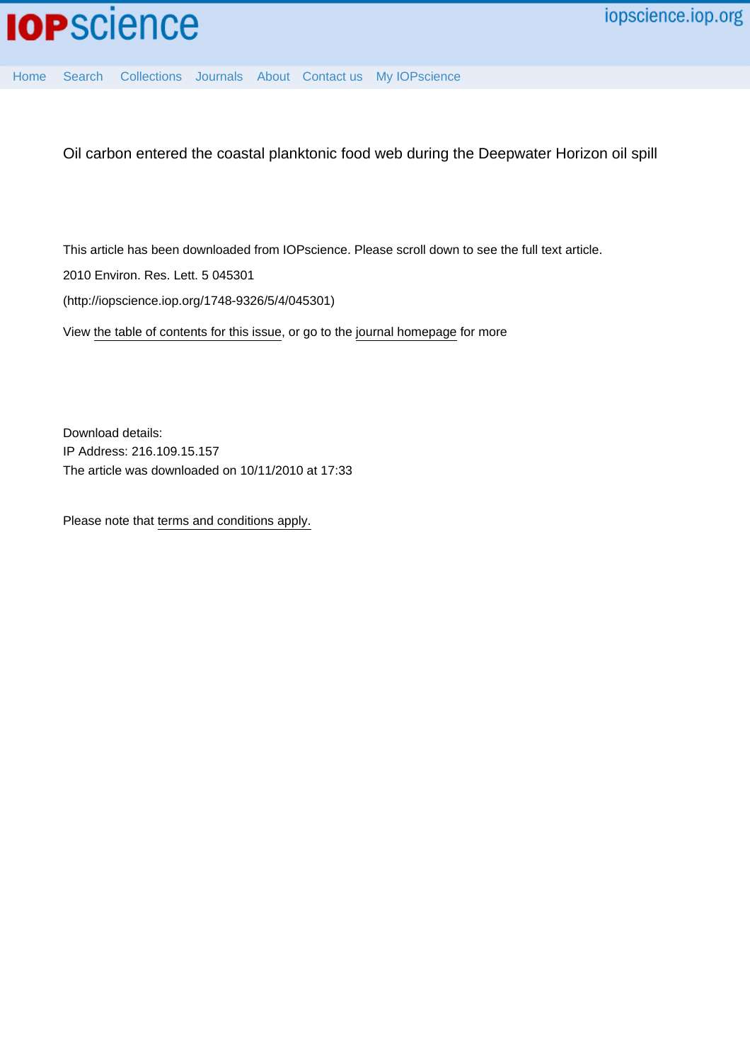

[Home](http://iopscience.iop.org/) [Search](http://iopscience.iop.org/search) [Collections](http://iopscience.iop.org/collections) [Journals](http://iopscience.iop.org/journals) [About](http://iopscience.iop.org/page/aboutioppublishing) [Contact us](http://iopscience.iop.org/contact) [My IOPscience](http://iopscience.iop.org/myiopscience)

Oil carbon entered the coastal planktonic food web during the Deepwater Horizon oil spill

This article has been downloaded from IOPscience. Please scroll down to see the full text article.

2010 Environ. Res. Lett. 5 045301

(http://iopscience.iop.org/1748-9326/5/4/045301)

View [the table of contents for this issue](http://iopscience.iop.org/1748-9326/5/4), or go to the [journal homepage](http://iopscience.iop.org/1748-9326) for more

Download details: IP Address: 216.109.15.157 The article was downloaded on 10/11/2010 at 17:33

Please note that [terms and conditions apply.](http://iopscience.iop.org/page/terms)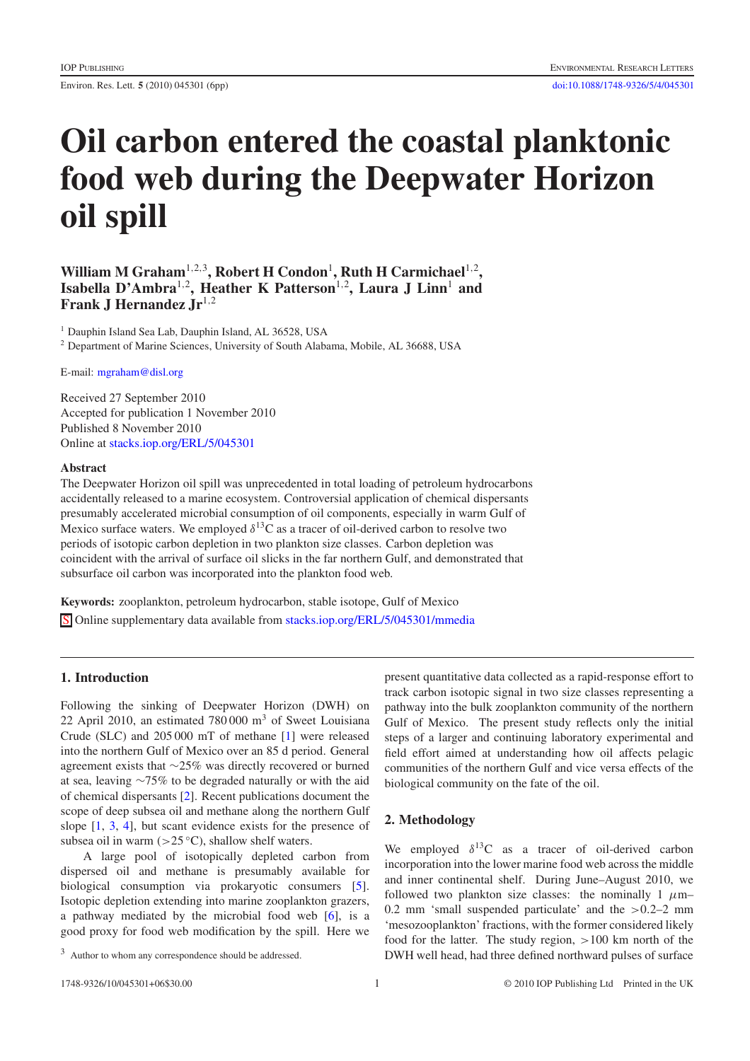Environ. Res. Lett. **5** (2010) 045301 (6pp) [doi:10.1088/1748-9326/5/4/045301](http://dx.doi.org/10.1088/1748-9326/5/4/045301)

# **Oil carbon entered the coastal planktonic food web during the Deepwater Horizon oil spill**

William M Graham<sup>1,2,3</sup>, Robert H Condon<sup>1</sup>, Ruth H Carmichael<sup>1,2</sup>, Isabella D'Ambra<sup>1,2</sup>, Heather K Patterson<sup>1,2</sup>, Laura J Linn<sup>1</sup> and **Frank J Hernandez Jr**<sup>1</sup>,<sup>2</sup>

<sup>1</sup> Dauphin Island Sea Lab, Dauphin Island, AL 36528, USA

<sup>2</sup> Department of Marine Sciences, University of South Alabama, Mobile, AL 36688, USA

E-mail: [mgraham@disl.org](mailto:mgraham@disl.org)

Received 27 September 2010 Accepted for publication 1 November 2010 Published 8 November 2010 Online at [stacks.iop.org/ERL/5/045301](http://stacks.iop.org/ERL/5/045301)

#### **Abstract**

The Deepwater Horizon oil spill was unprecedented in total loading of petroleum hydrocarbons accidentally released to a marine ecosystem. Controversial application of chemical dispersants presumably accelerated microbial consumption of oil components, especially in warm Gulf of Mexico surface waters. We employed  $\delta^{13}$ C as a tracer of oil-derived carbon to resolve two periods of isotopic carbon depletion in two plankton size classes. Carbon depletion was coincident with the arrival of surface oil slicks in the far northern Gulf, and demonstrated that subsurface oil carbon was incorporated into the plankton food web.

**Keywords:** zooplankton, petroleum hydrocarbon, stable isotope, Gulf of Mexico S Online supplementary data available from [stacks.iop.org/ERL/5/045301/mmedia](http://stacks.iop.org/ERL/5/045301/mmedia)

# **1. Introduction**

Following the sinking of Deepwater Horizon (DWH) on 22 April 2010, an estimated 780 000  $\text{m}^3$  of Sweet Louisiana Crude (SLC) and 205 000 mT of methane [\[1\]](#page-6-0) were released into the northern Gulf of Mexico over an 85 d period. General agreement exists that ∼25% was directly recovered or burned at sea, leaving ∼75% to be degraded naturally or with the aid of chemical dispersants [\[2\]](#page-6-1). Recent publications document the scope of deep subsea oil and methane along the northern Gulf slope [\[1,](#page-6-0) [3,](#page-6-2) [4\]](#page-6-3), but scant evidence exists for the presence of subsea oil in warm  $(>25 °C)$ , shallow shelf waters.

A large pool of isotopically depleted carbon from dispersed oil and methane is presumably available for biological consumption via prokaryotic consumers [\[5\]](#page-6-4). Isotopic depletion extending into marine zooplankton grazers, a pathway mediated by the microbial food web [\[6\]](#page-6-5), is a good proxy for food web modification by the spill. Here we

present quantitative data collected as a rapid-response effort to track carbon isotopic signal in two size classes representing a pathway into the bulk zooplankton community of the northern Gulf of Mexico. The present study reflects only the initial steps of a larger and continuing laboratory experimental and field effort aimed at understanding how oil affects pelagic communities of the northern Gulf and vice versa effects of the biological community on the fate of the oil.

# **2. Methodology**

We employed  $\delta^{13}C$  as a tracer of oil-derived carbon incorporation into the lower marine food web across the middle and inner continental shelf. During June–August 2010, we followed two plankton size classes: the nominally 1  $\mu$ m-0.2 mm 'small suspended particulate' and the  $>0.2-2$  mm 'mesozooplankton' fractions, with the former considered likely food for the latter. The study region, >100 km north of the DWH well head, had three defined northward pulses of surface

<sup>3</sup> Author to whom any correspondence should be addressed.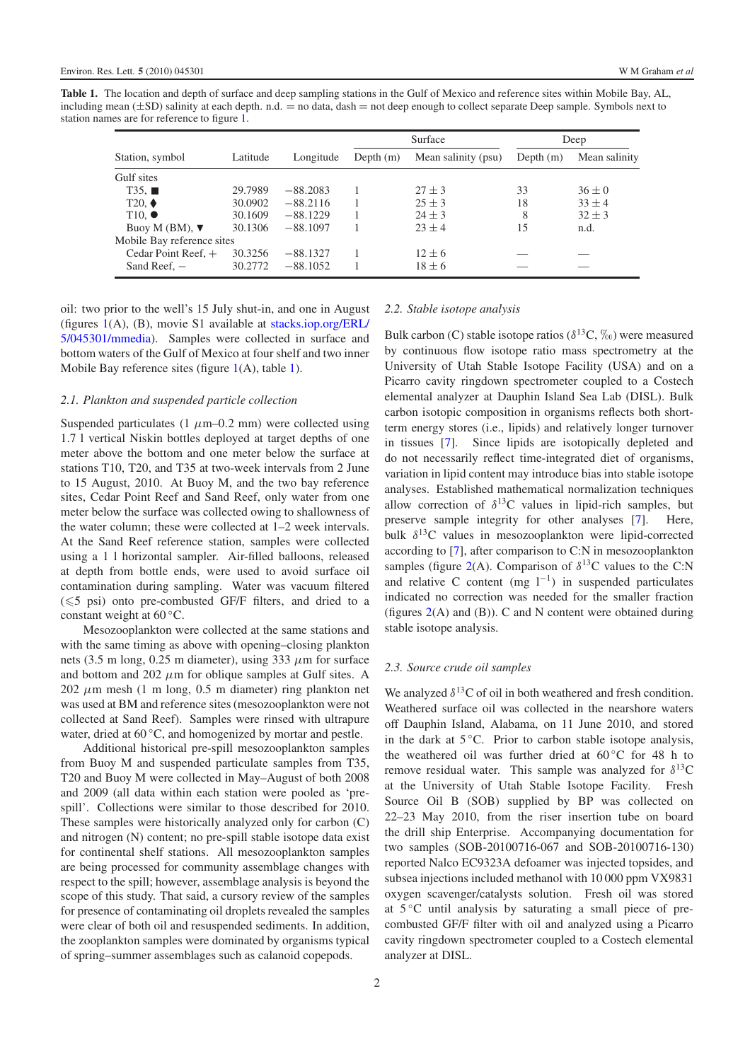<span id="page-2-0"></span>**Table 1.** The location and depth of surface and deep sampling stations in the Gulf of Mexico and reference sites within Mobile Bay, AL, including mean  $(\pm SD)$  salinity at each depth. n.d.  $=$  no data, dash  $=$  not deep enough to collect separate Deep sample. Symbols next to station names are for reference to figure [1.](#page-3-0)

| Station, symbol            | Latitude | Longitude  | Surface     |                     | Deep        |               |
|----------------------------|----------|------------|-------------|---------------------|-------------|---------------|
|                            |          |            | Depth $(m)$ | Mean salinity (psu) | Depth $(m)$ | Mean salinity |
| Gulf sites                 |          |            |             |                     |             |               |
| T35.                       | 29.7989  | $-88.2083$ |             | $27 \pm 3$          | 33          | $36 \pm 0$    |
| $T20,$ $\blacklozenge$     | 30.0902  | $-88.2116$ |             | $25 \pm 3$          | 18          | $33 \pm 4$    |
| $T10.$ $\bullet$           | 30.1609  | $-88.1229$ |             | $24 \pm 3$          | 8           | $32 \pm 3$    |
| Buoy M (BM), $\nabla$      | 30.1306  | $-88.1097$ |             | $23 \pm 4$          | 15          | n.d.          |
| Mobile Bay reference sites |          |            |             |                     |             |               |
| Cedar Point Reef, $+$      | 30.3256  | $-88.1327$ |             | $12 \pm 6$          |             |               |
| Sand Reef, $-$             | 30.2772  | $-88.1052$ |             | $18 \pm 6$          |             |               |

oil: two prior to the well's 15 July shut-in, and one in August (figures [1\(](#page-3-0)A), (B), movie S1 available at stacks.iop.org/ERL/ 5/045301/mmedia). Samples were collected in surface and bottom waters of the Gulf of Mexico at four shelf and two inner Mobile Bay reference sites (figure  $1(A)$  $1(A)$ , table [1\)](#page-2-0).

## *2.1. Plankton and suspended particle collection*

Suspended particulates (1  $\mu$ m–0.2 mm) were collected using 1.7 l vertical Niskin bottles deployed at target depths of one meter above the bottom and one meter below the surface at stations T10, T20, and T35 at two-week intervals from 2 June to 15 August, 2010. At Buoy M, and the two bay reference sites, Cedar Point Reef and Sand Reef, only water from one meter below the surface was collected owing to shallowness of the water column; these were collected at 1–2 week intervals. At the Sand Reef reference station, samples were collected using a 1 l horizontal sampler. Air-filled balloons, released at depth from bottle ends, were used to avoid surface oil contamination during sampling. Water was vacuum filtered  $(\leq 5 \text{ psi})$  onto pre-combusted GF/F filters, and dried to a constant weight at  $60^{\circ}$ C.

Mesozooplankton were collected at the same stations and with the same timing as above with opening–closing plankton nets (3.5 m long, 0.25 m diameter), using 333  $\mu$ m for surface and bottom and 202  $\mu$ m for oblique samples at Gulf sites. A 202  $\mu$ m mesh (1 m long, 0.5 m diameter) ring plankton net was used at BM and reference sites (mesozooplankton were not collected at Sand Reef). Samples were rinsed with ultrapure water, dried at 60 ℃, and homogenized by mortar and pestle.

Additional historical pre-spill mesozooplankton samples from Buoy M and suspended particulate samples from T35, T20 and Buoy M were collected in May–August of both 2008 and 2009 (all data within each station were pooled as 'prespill'. Collections were similar to those described for 2010. These samples were historically analyzed only for carbon (C) and nitrogen (N) content; no pre-spill stable isotope data exist for continental shelf stations. All mesozooplankton samples are being processed for community assemblage changes with respect to the spill; however, assemblage analysis is beyond the scope of this study. That said, a cursory review of the samples for presence of contaminating oil droplets revealed the samples were clear of both oil and resuspended sediments. In addition, the zooplankton samples were dominated by organisms typical of spring–summer assemblages such as calanoid copepods.

#### *2.2. Stable isotope analysis*

Bulk carbon (C) stable isotope ratios ( $\delta^{13}$ C,  $\%$ <sub>0</sub>) were measured by continuous flow isotope ratio mass spectrometry at the University of Utah Stable Isotope Facility (USA) and on a Picarro cavity ringdown spectrometer coupled to a Costech elemental analyzer at Dauphin Island Sea Lab (DISL). Bulk carbon isotopic composition in organisms reflects both shortterm energy stores (i.e., lipids) and relatively longer turnover in tissues [\[7\]](#page-6-6). Since lipids are isotopically depleted and do not necessarily reflect time-integrated diet of organisms, variation in lipid content may introduce bias into stable isotope analyses. Established mathematical normalization techniques allow correction of  $\delta^{13}$ C values in lipid-rich samples, but preserve sample integrity for other analyses [\[7\]](#page-6-6). Here, bulk  $\delta^{13}$ C values in mesozooplankton were lipid-corrected according to [\[7\]](#page-6-6), after comparison to C:N in mesozooplankton samples (figure [2\(](#page-4-0)A). Comparison of  $\delta^{13}$ C values to the C:N and relative C content (mg  $l^{-1}$ ) in suspended particulates indicated no correction was needed for the smaller fraction (figures  $2(A)$  $2(A)$  and (B)). C and N content were obtained during stable isotope analysis.

#### *2.3. Source crude oil samples*

We analyzed  $\delta^{13}$ C of oil in both weathered and fresh condition. Weathered surface oil was collected in the nearshore waters off Dauphin Island, Alabama, on 11 June 2010, and stored in the dark at  $5^{\circ}$ C. Prior to carbon stable isotope analysis, the weathered oil was further dried at 60 ◦C for 48 h to remove residual water. This sample was analyzed for  $\delta^{13}$ C at the University of Utah Stable Isotope Facility. Fresh Source Oil B (SOB) supplied by BP was collected on 22–23 May 2010, from the riser insertion tube on board the drill ship Enterprise. Accompanying documentation for two samples (SOB-20100716-067 and SOB-20100716-130) reported Nalco EC9323A defoamer was injected topsides, and subsea injections included methanol with 10 000 ppm VX9831 oxygen scavenger/catalysts solution. Fresh oil was stored at  $5^{\circ}$ C until analysis by saturating a small piece of precombusted GF/F filter with oil and analyzed using a Picarro cavity ringdown spectrometer coupled to a Costech elemental analyzer at DISL.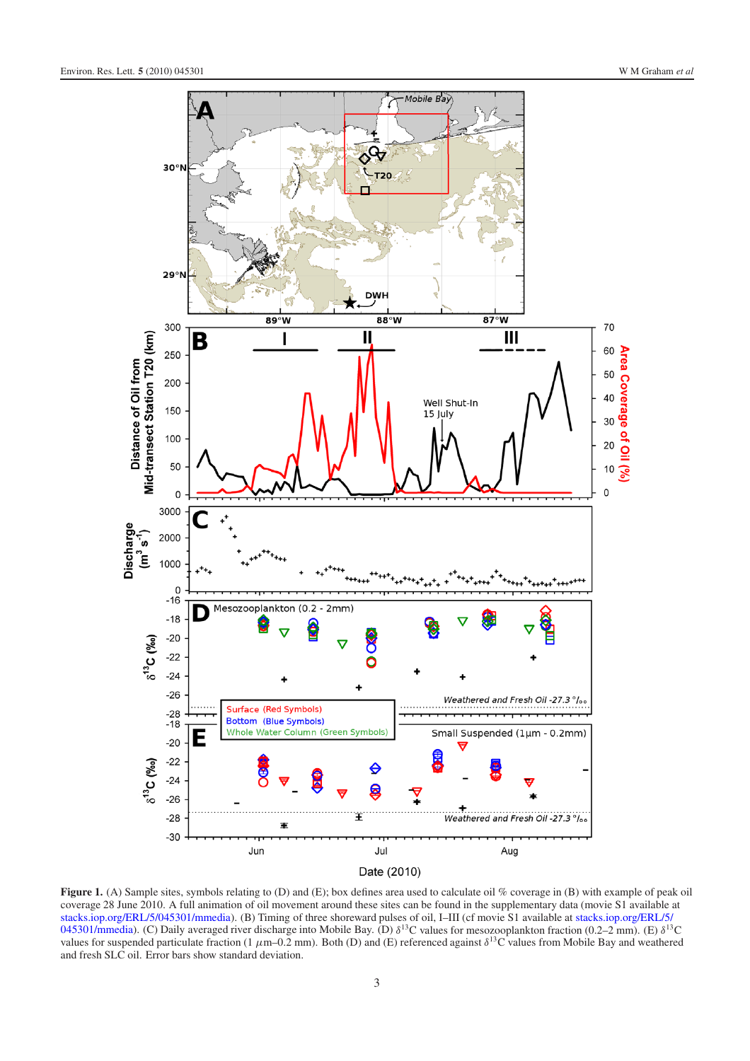<span id="page-3-0"></span>

**Figure 1.** (A) Sample sites, symbols relating to (D) and (E); box defines area used to calculate oil % coverage in (B) with example of peak oil coverage 28 June 2010. A full animation of oil movement around these sites can be found in the supplementary data (movie S1 available at [stacks.iop.org/ERL/5/045301/mmedia\)](http://stacks.iop.org/ERL/5/045301/mmedia). (B) Timing of three shoreward pulses of oil, I–III (cf movie S1 available at stacks.iop.org/ERL/5/ 045301/mmedia). (C) Daily averaged river discharge into Mobile Bay. (D)  $\delta^{13}$ C values for mesozooplankton fraction (0.2–2 mm). (E)  $\delta^{13}$ C values for suspended particulate fraction (1  $\mu$ m–0.2 mm). Both (D) and (E) referenced against  $\delta^{13}$ C values from Mobile Bay and weathered and fresh SLC oil. Error bars show standard deviation.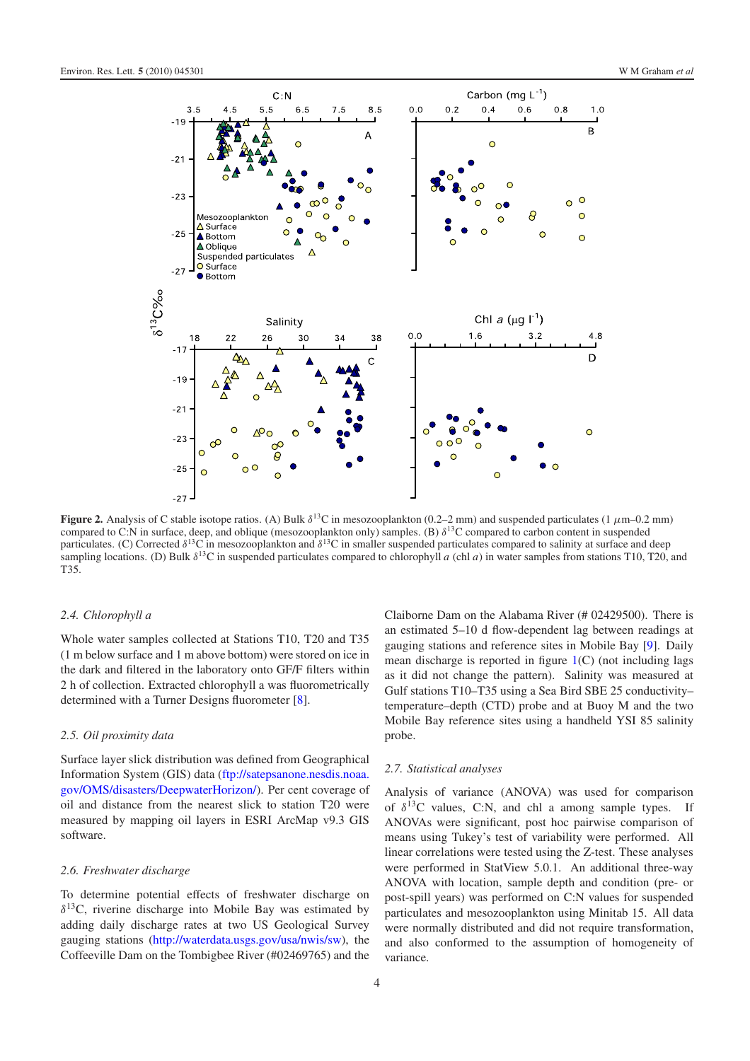<span id="page-4-0"></span>

**Figure 2.** Analysis of C stable isotope ratios. (A) Bulk  $\delta^{13}$ C in mesozooplankton (0.2–2 mm) and suspended particulates (1  $\mu$ m–0.2 mm) compared to C:N in surface, deep, and oblique (mesozooplankton only) samples. (B)  $\delta^{13}$ C compared to carbon content in suspended particulates. (C) Corrected  $\delta^{13}$ C in mesozooplankton and  $\delta^{13}$ C in smaller suspended particulates compared to salinity at surface and deep sampling locations. (D) Bulk  $\delta^{13}$ C in suspended particulates compared to chlorophyll *a* (chl *a*) in water samples from stations T10, T20, and T35.

#### *2.4. Chlorophyll a*

Whole water samples collected at Stations T10, T20 and T35 (1 m below surface and 1 m above bottom) were stored on ice in the dark and filtered in the laboratory onto GF/F filters within 2 h of collection. Extracted chlorophyll a was fluorometrically determined with a Turner Designs fluorometer [\[8\]](#page-6-7).

#### *2.5. Oil proximity data*

Surface layer slick distribution was defined from Geographical Information System (GIS) data [\(ftp://satepsanone.nesdis.noaa.](ftp://satepsanone.nesdis.noaa.gov/OMS/disasters/DeepwaterHorizon/) [gov/OMS/disasters/DeepwaterHorizon/\)](ftp://satepsanone.nesdis.noaa.gov/OMS/disasters/DeepwaterHorizon/). Per cent coverage of oil and distance from the nearest slick to station T20 were measured by mapping oil layers in ESRI ArcMap v9.3 GIS software.

#### *2.6. Freshwater discharge*

To determine potential effects of freshwater discharge on  $\delta^{13}$ C, riverine discharge into Mobile Bay was estimated by adding daily discharge rates at two US Geological Survey gauging stations [\(http://waterdata.usgs.gov/usa/nwis/sw\)](http://waterdata.usgs.gov/usa/nwis/sw), the Coffeeville Dam on the Tombigbee River (#02469765) and the

Claiborne Dam on the Alabama River (# 02429500). There is an estimated 5–10 d flow-dependent lag between readings at gauging stations and reference sites in Mobile Bay [\[9\]](#page-6-8). Daily mean discharge is reported in figure  $1(C)$  $1(C)$  (not including lags as it did not change the pattern). Salinity was measured at Gulf stations T10–T35 using a Sea Bird SBE 25 conductivity– temperature–depth (CTD) probe and at Buoy M and the two Mobile Bay reference sites using a handheld YSI 85 salinity probe.

#### *2.7. Statistical analyses*

Analysis of variance (ANOVA) was used for comparison of  $\delta^{13}$ C values, C:N, and chl a among sample types. If ANOVAs were significant, post hoc pairwise comparison of means using Tukey's test of variability were performed. All linear correlations were tested using the Z-test. These analyses were performed in StatView 5.0.1. An additional three-way ANOVA with location, sample depth and condition (pre- or post-spill years) was performed on C:N values for suspended particulates and mesozooplankton using Minitab 15. All data were normally distributed and did not require transformation, and also conformed to the assumption of homogeneity of variance.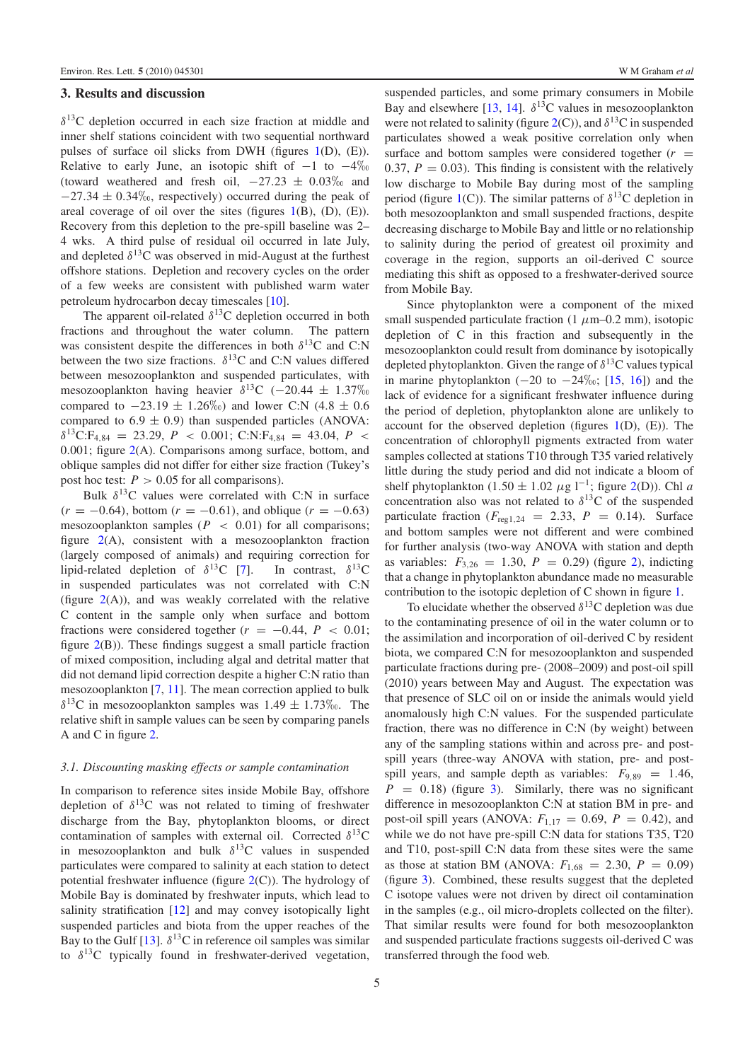# **3. Results and discussion**

 $\delta^{13}$ C depletion occurred in each size fraction at middle and inner shelf stations coincident with two sequential northward pulses of surface oil slicks from DWH (figures [1\(](#page-3-0)D), (E)). Relative to early June, an isotopic shift of  $-1$  to  $-4\%$ (toward weathered and fresh oil,  $-27.23 \pm 0.03\%$  and  $-27.34 \pm 0.34\%$ , respectively) occurred during the peak of areal coverage of oil over the sites (figures  $1(B)$  $1(B)$ ,  $(D)$ ,  $(E)$ ). Recovery from this depletion to the pre-spill baseline was 2– 4 wks. A third pulse of residual oil occurred in late July, and depleted  $\delta^{13}$ C was observed in mid-August at the furthest offshore stations. Depletion and recovery cycles on the order of a few weeks are consistent with published warm water petroleum hydrocarbon decay timescales [\[10\]](#page-6-9).

The apparent oil-related  $\delta^{13}$ C depletion occurred in both fractions and throughout the water column. The pattern was consistent despite the differences in both  $\delta^{13}$ C and C:N between the two size fractions.  $\delta^{13}$ C and C:N values differed between mesozooplankton and suspended particulates, with mesozooplankton having heavier  $\delta^{13}$ C (−20.44 ± 1.37%) compared to  $-23.19 \pm 1.26\%$ ) and lower C:N (4.8  $\pm$  0.6 compared to  $6.9 \pm 0.9$ ) than suspended particles (ANOVA:  $\delta^{13}$ C:F<sub>4,84</sub> = 23.29, *P* < 0.001; C:N:F<sub>4,84</sub> = 43.04, *P* < 0.001; figure [2\(](#page-4-0)A). Comparisons among surface, bottom, and oblique samples did not differ for either size fraction (Tukey's post hoc test:  $P > 0.05$  for all comparisons).

Bulk  $\delta^{13}$ C values were correlated with C:N in surface  $(r = -0.64)$ , bottom  $(r = -0.61)$ , and oblique  $(r = -0.63)$ mesozooplankton samples ( $P < 0.01$ ) for all comparisons; figure  $2(A)$  $2(A)$ , consistent with a mesozooplankton fraction (largely composed of animals) and requiring correction for lipid-related depletion of  $\delta^{13}C$  [\[7\]](#page-6-6). In contrast,  $\delta^{13}C$ in suspended particulates was not correlated with C:N (figure  $2(A)$  $2(A)$ ), and was weakly correlated with the relative C content in the sample only when surface and bottom fractions were considered together  $(r = -0.44, P < 0.01;$ figure [2\(](#page-4-0)B)). These findings suggest a small particle fraction of mixed composition, including algal and detrital matter that did not demand lipid correction despite a higher C:N ratio than mesozooplankton [\[7,](#page-6-6) [11\]](#page-6-10). The mean correction applied to bulk  $\delta^{13}$ C in mesozooplankton samples was  $1.49 \pm 1.73\%$ . The relative shift in sample values can be seen by comparing panels A and C in figure [2.](#page-4-0)

#### *3.1. Discounting masking effects or sample contamination*

In comparison to reference sites inside Mobile Bay, offshore depletion of  $\delta^{13}$ C was not related to timing of freshwater discharge from the Bay, phytoplankton blooms, or direct contamination of samples with external oil. Corrected  $\delta^{13}$ C in mesozooplankton and bulk  $\delta^{13}$ C values in suspended particulates were compared to salinity at each station to detect potential freshwater influence (figure [2\(](#page-4-0)C)). The hydrology of Mobile Bay is dominated by freshwater inputs, which lead to salinity stratification [\[12\]](#page-6-11) and may convey isotopically light suspended particles and biota from the upper reaches of the Bay to the Gulf [\[13\]](#page-6-12).  $\delta^{13}$ C in reference oil samples was similar to  $\delta^{13}$ C typically found in freshwater-derived vegetation,

suspended particles, and some primary consumers in Mobile Bay and elsewhere [\[13,](#page-6-12) [14\]](#page-6-13).  $\delta^{13}$ C values in mesozooplankton were not related to salinity (figure  $2(C)$  $2(C)$ ), and  $\delta^{13}C$  in suspended particulates showed a weak positive correlation only when surface and bottom samples were considered together  $(r =$ 0.37,  $P = 0.03$ ). This finding is consistent with the relatively low discharge to Mobile Bay during most of the sampling period (figure [1\(](#page-3-0)C)). The similar patterns of  $\delta^{13}$ C depletion in both mesozooplankton and small suspended fractions, despite decreasing discharge to Mobile Bay and little or no relationship to salinity during the period of greatest oil proximity and coverage in the region, supports an oil-derived C source mediating this shift as opposed to a freshwater-derived source from Mobile Bay.

Since phytoplankton were a component of the mixed small suspended particulate fraction  $(1 \mu m-0.2 \mu m)$ , isotopic depletion of C in this fraction and subsequently in the mesozooplankton could result from dominance by isotopically depleted phytoplankton. Given the range of  $\delta^{13}$ C values typical in marine phytoplankton  $(-20 \text{ to } -24\% \text{), } [15, 16]$  $(-20 \text{ to } -24\% \text{), } [15, 16]$  $(-20 \text{ to } -24\% \text{), } [15, 16]$  $(-20 \text{ to } -24\% \text{), } [15, 16]$  and the lack of evidence for a significant freshwater influence during the period of depletion, phytoplankton alone are unlikely to account for the observed depletion (figures  $1(D)$  $1(D)$ ,  $(E)$ ). The concentration of chlorophyll pigments extracted from water samples collected at stations T10 through T35 varied relatively little during the study period and did not indicate a bloom of shelf phytoplankton (1.50  $\pm$  1.02  $\mu$ g l<sup>-1</sup>; figure [2\(](#page-4-0)D)). Chl *a* concentration also was not related to  $\delta^{13}$ C of the suspended particulate fraction ( $F_{\text{reg1,24}} = 2.33$ ,  $P = 0.14$ ). Surface and bottom samples were not different and were combined for further analysis (two-way ANOVA with station and depth as variables:  $F_{3,26} = 1.30, P = 0.29$  (figure [2\)](#page-4-0), indicting that a change in phytoplankton abundance made no measurable contribution to the isotopic depletion of C shown in figure [1.](#page-3-0)

To elucidate whether the observed  $\delta^{13}$ C depletion was due to the contaminating presence of oil in the water column or to the assimilation and incorporation of oil-derived C by resident biota, we compared C:N for mesozooplankton and suspended particulate fractions during pre- (2008–2009) and post-oil spill (2010) years between May and August. The expectation was that presence of SLC oil on or inside the animals would yield anomalously high C:N values. For the suspended particulate fraction, there was no difference in C:N (by weight) between any of the sampling stations within and across pre- and postspill years (three-way ANOVA with station, pre- and postspill years, and sample depth as variables:  $F_{9,89} = 1.46$ ,  $P = 0.18$ ) (figure [3\)](#page-6-16). Similarly, there was no significant difference in mesozooplankton C:N at station BM in pre- and post-oil spill years (ANOVA:  $F_{1,17} = 0.69, P = 0.42$ ), and while we do not have pre-spill C:N data for stations T35, T20 and T10, post-spill C:N data from these sites were the same as those at station BM (ANOVA:  $F_{1.68} = 2.30, P = 0.09$ ) (figure [3\)](#page-6-16). Combined, these results suggest that the depleted C isotope values were not driven by direct oil contamination in the samples (e.g., oil micro-droplets collected on the filter). That similar results were found for both mesozooplankton and suspended particulate fractions suggests oil-derived C was transferred through the food web.